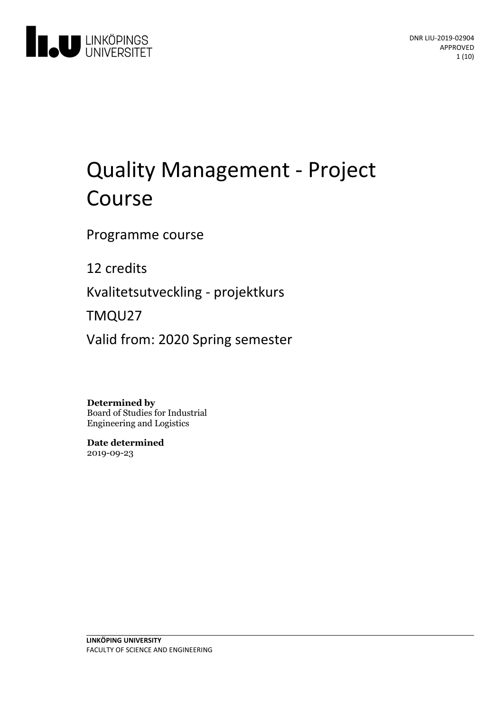

# Quality Management - Project Course

Programme course

12 credits

Kvalitetsutveckling- projektkurs

TMQU27

Valid from: 2020 Spring semester

**Determined by**

Board of Studies for Industrial Engineering and Logistics

**Date determined** 2019-09-23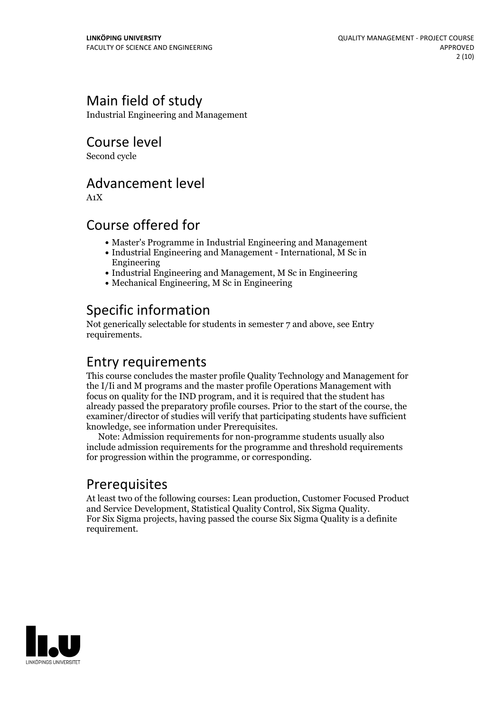# Main field of study

Industrial Engineering and Management

Course level

Second cycle

### Advancement level

A1X

### Course offered for

- Master's Programme in Industrial Engineering and Management
- Industrial Engineering and Management International, M Sc in Engineering
- Industrial Engineering and Management, M Sc in Engineering
- Mechanical Engineering, M Sc in Engineering

# Specific information

Not generically selectable for students in semester 7 and above, see Entry requirements.

### Entry requirements

This course concludes the master profile Quality Technology and Management for the I/Ii and M programs and the master profile Operations Management with focus on quality for the IND program, and it is required that the student has already passed the preparatory profile courses. Prior to the start of the course, the examiner/director of studies will verify that participating students have sufficient knowledge, see information under Prerequisites. Note: Admission requirements for non-programme students usually also

include admission requirements for the programme and threshold requirements for progression within the programme, or corresponding.

# Prerequisites

At least two of the following courses: Lean production, Customer Focused Product and Service Development, Statistical Quality Control, Six Sigma Quality. For Six Sigma projects, having passed the course Six Sigma Quality is a definite requirement.

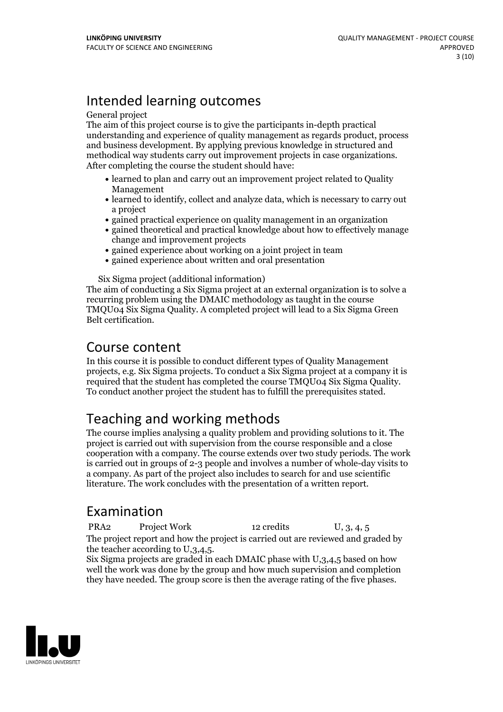# Intended learning outcomes

#### General project

The aim of this project course is to give the participants in-depth practical understanding and experience of quality management as regards product, process and business development. By applying previous knowledge in structured and methodical way students carry out improvement projects in case organizations. After completing the course the student should have:

- learned to plan and carry out an improvement project related to Quality Management
- learned to identify, collect and analyze data, which is necessary to carry out a project
- gained practical experience on quality management in an organization
- gained theoretical and practical knowledge about how to effectively manage change and improvement projects
- gained experience about working on a joint project in team
- gained experience about written and oral presentation

Six Sigma project (additional information)

The aim of conducting a Six Sigma project at an external organization is to solve a recurring problem using the DMAIC methodology as taught in the course TMQU04 Six Sigma Quality. A completed project will lead to a Six Sigma Green Belt certification.

### Course content

In this course it is possible to conduct different types of Quality Management projects, e.g. Six Sigma projects. To conduct a Six Sigma project at a company it is required that the student has completed the course TMQU04 Six Sigma Quality. To conduct another project the student has to fulfill the prerequisites stated.

# Teaching and working methods

The course implies analysing a quality problem and providing solutions to it. The project is carried outwith supervision from the course responsible and a close cooperation with a company. The course extends over two study periods. The work is carried out in groups of 2-3 people and involves a number of whole-day visits to a company. As part of the project also includes to search for and use scientific literature. The work concludes with the presentation of a written report.

# Examination

PRA2 Project Work 12 credits U, 3, 4, 5 The project report and how the project is carried out are reviewed and graded by

the teacher according to U,3,4,5. Six Sigma projects are graded in each DMAIC phase with U,3,4,5 based on how well the work was done by the group and how much supervision and completion they have needed. The group score is then the average rating of the five phases.

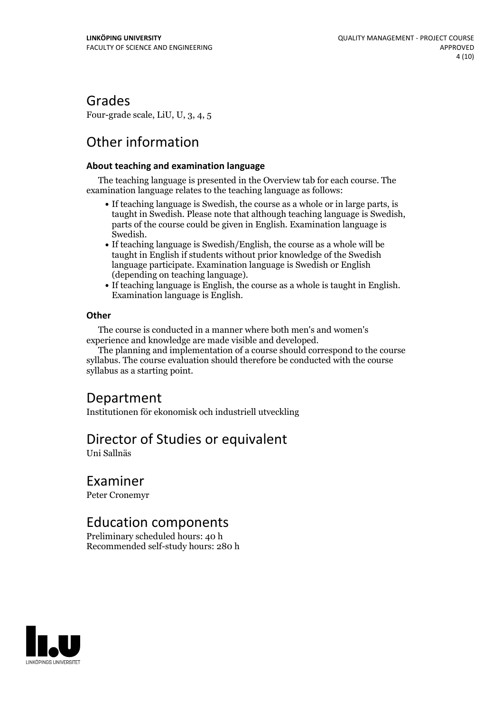### Grades

Four-grade scale, LiU, U, 3, 4, 5

# Other information

#### **About teaching and examination language**

The teaching language is presented in the Overview tab for each course. The examination language relates to the teaching language as follows:

- If teaching language is Swedish, the course as a whole or in large parts, is taught in Swedish. Please note that although teaching language is Swedish, parts of the course could be given in English. Examination language is
- Swedish.<br>• If teaching language is Swedish/English, the course as a whole will be taught in English if students without prior knowledge of the Swedish language participate. Examination language is Swedish or English
- (depending on teaching language).<br>• If teaching language is English, the course as a whole is taught in English.<br>Examination language is English.

#### **Other**

The course is conducted in a manner where both men's and women's

The planning and implementation of a course should correspond to the course syllabus. The course evaluation should therefore be conducted with the course syllabus as a starting point.

### Department

Institutionen för ekonomisk och industriell utveckling

### Director of Studies or equivalent

Uni Sallnäs

Examiner

Peter Cronemyr

### Education components

Preliminary scheduled hours: 40 h Recommended self-study hours: 280 h

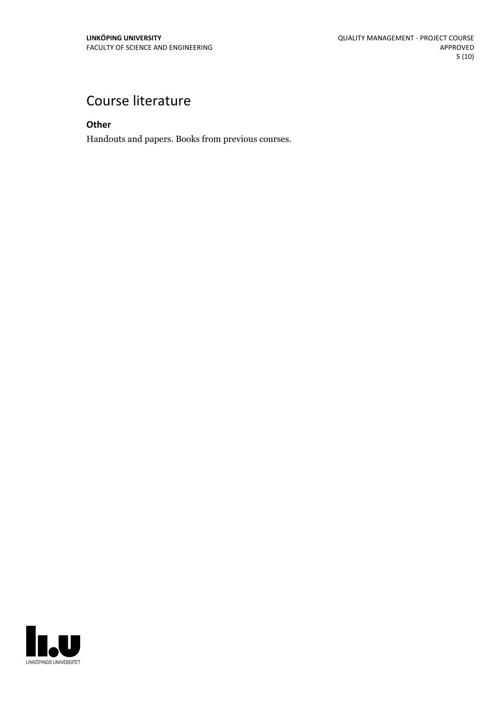# Course literature

**Other**

Handouts and papers. Books from previous courses.

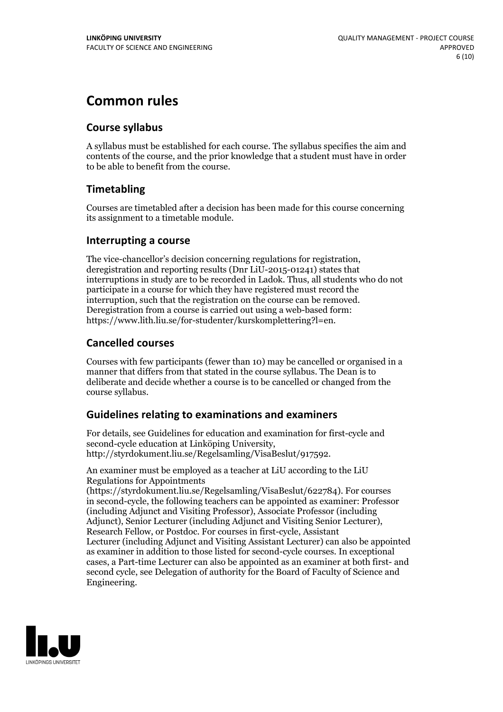# **Common rules**

#### **Course syllabus**

A syllabus must be established for each course. The syllabus specifies the aim and contents of the course, and the prior knowledge that a student must have in order to be able to benefit from the course.

### **Timetabling**

Courses are timetabled after a decision has been made for this course concerning its assignment to a timetable module.

#### **Interrupting a course**

The vice-chancellor's decision concerning regulations for registration, deregistration and reporting results (Dnr LiU-2015-01241) states that interruptions in study are to be recorded in Ladok. Thus, all students who do not participate in a course for which they have registered must record the interruption, such that the registration on the course can be removed. Deregistration from <sup>a</sup> course is carried outusing <sup>a</sup> web-based form: https://www.lith.liu.se/for-studenter/kurskomplettering?l=en.

### **Cancelled courses**

Courses with few participants (fewer than 10) may be cancelled or organised in a manner that differs from that stated in the course syllabus. The Dean is to deliberate and decide whether a course is to be cancelled or changed from the course syllabus.

### **Guidelines relatingto examinations and examiners**

For details, see Guidelines for education and examination for first-cycle and second-cycle education at Linköping University, http://styrdokument.liu.se/Regelsamling/VisaBeslut/917592.

An examiner must be employed as a teacher at LiU according to the LiU Regulations for Appointments

(https://styrdokument.liu.se/Regelsamling/VisaBeslut/622784). For courses in second-cycle, the following teachers can be appointed as examiner: Professor (including Adjunct and Visiting Professor), Associate Professor (including Adjunct), Senior Lecturer (including Adjunct and Visiting Senior Lecturer), Research Fellow, or Postdoc. For courses in first-cycle, Assistant Lecturer (including Adjunct and Visiting Assistant Lecturer) can also be appointed as examiner in addition to those listed for second-cycle courses. In exceptional cases, a Part-time Lecturer can also be appointed as an examiner at both first- and second cycle, see Delegation of authority for the Board of Faculty of Science and Engineering.

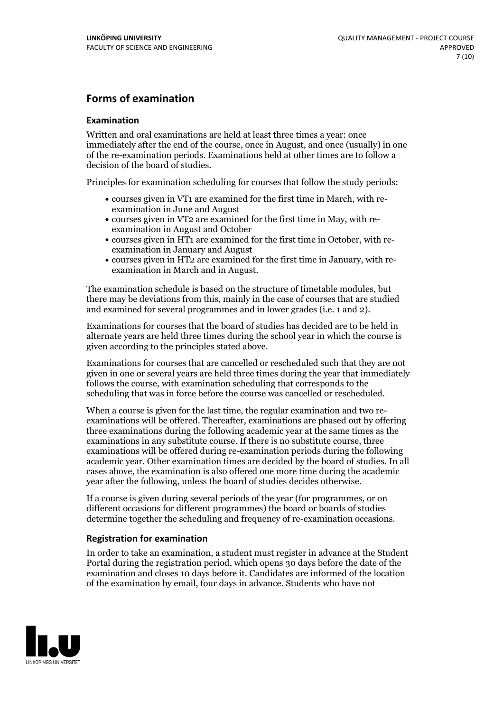#### **Forms of examination**

#### **Examination**

Written and oral examinations are held at least three times a year: once immediately after the end of the course, once in August, and once (usually) in one of the re-examination periods. Examinations held at other times are to follow a decision of the board of studies.

Principles for examination scheduling for courses that follow the study periods:

- courses given in VT1 are examined for the first time in March, with re-examination in June and August
- courses given in VT2 are examined for the first time in May, with re-examination in August and October
- courses given in HT1 are examined for the first time in October, with re-examination in January and August
- courses given in HT2 are examined for the first time in January, with re-examination in March and in August.

The examination schedule is based on the structure of timetable modules, but there may be deviations from this, mainly in the case of courses that are studied and examined for several programmes and in lower grades (i.e. 1 and 2).

Examinations for courses that the board of studies has decided are to be held in alternate years are held three times during the school year in which the course is given according to the principles stated above.

Examinations for courses that are cancelled orrescheduled such that they are not given in one or several years are held three times during the year that immediately follows the course, with examination scheduling that corresponds to the scheduling that was in force before the course was cancelled or rescheduled.

When a course is given for the last time, the regular examination and two re-<br>examinations will be offered. Thereafter, examinations are phased out by offering three examinations during the following academic year at the same times as the examinations in any substitute course. If there is no substitute course, three examinations will be offered during re-examination periods during the following academic year. Other examination times are decided by the board of studies. In all cases above, the examination is also offered one more time during the academic year after the following, unless the board of studies decides otherwise.

If a course is given during several periods of the year (for programmes, or on different occasions for different programmes) the board or boards of studies determine together the scheduling and frequency of re-examination occasions.

#### **Registration for examination**

In order to take an examination, a student must register in advance at the Student Portal during the registration period, which opens 30 days before the date of the examination and closes 10 days before it. Candidates are informed of the location of the examination by email, four days in advance. Students who have not

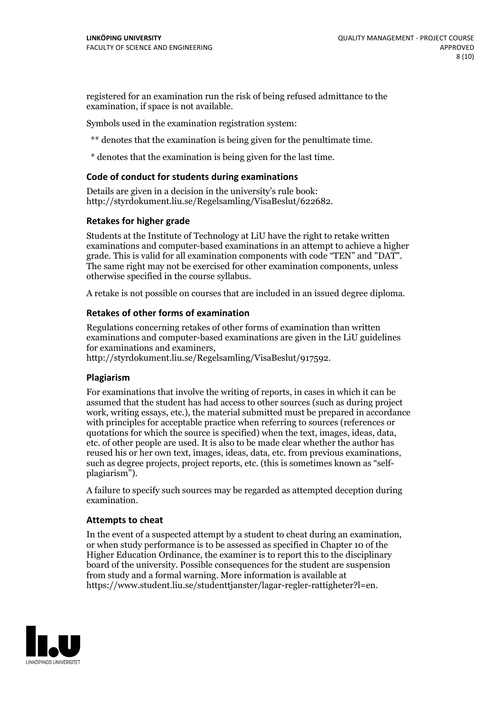registered for an examination run the risk of being refused admittance to the examination, if space is not available.

Symbols used in the examination registration system:

\*\* denotes that the examination is being given for the penultimate time.

\* denotes that the examination is being given for the last time.

#### **Code of conduct for students during examinations**

Details are given in a decision in the university's rule book: http://styrdokument.liu.se/Regelsamling/VisaBeslut/622682.

#### **Retakes for higher grade**

Students at the Institute of Technology at LiU have the right to retake written examinations and computer-based examinations in an attempt to achieve a higher grade. This is valid for all examination components with code "TEN" and "DAT". The same right may not be exercised for other examination components, unless otherwise specified in the course syllabus.

A retake is not possible on courses that are included in an issued degree diploma.

#### **Retakes of other forms of examination**

Regulations concerning retakes of other forms of examination than written examinations and computer-based examinations are given in the LiU guidelines

http://styrdokument.liu.se/Regelsamling/VisaBeslut/917592.

#### **Plagiarism**

For examinations that involve the writing of reports, in cases in which it can be assumed that the student has had access to other sources (such as during project work, writing essays, etc.), the material submitted must be prepared in accordance with principles for acceptable practice when referring to sources (references or quotations for which the source is specified) when the text, images, ideas, data,  $\vec{e}$  etc. of other people are used. It is also to be made clear whether the author has reused his or her own text, images, ideas, data, etc. from previous examinations, such as degree projects, project reports, etc. (this is sometimes known as "self- plagiarism").

A failure to specify such sources may be regarded as attempted deception during examination.

#### **Attempts to cheat**

In the event of <sup>a</sup> suspected attempt by <sup>a</sup> student to cheat during an examination, or when study performance is to be assessed as specified in Chapter <sup>10</sup> of the Higher Education Ordinance, the examiner is to report this to the disciplinary board of the university. Possible consequences for the student are suspension from study and a formal warning. More information is available at https://www.student.liu.se/studenttjanster/lagar-regler-rattigheter?l=en.

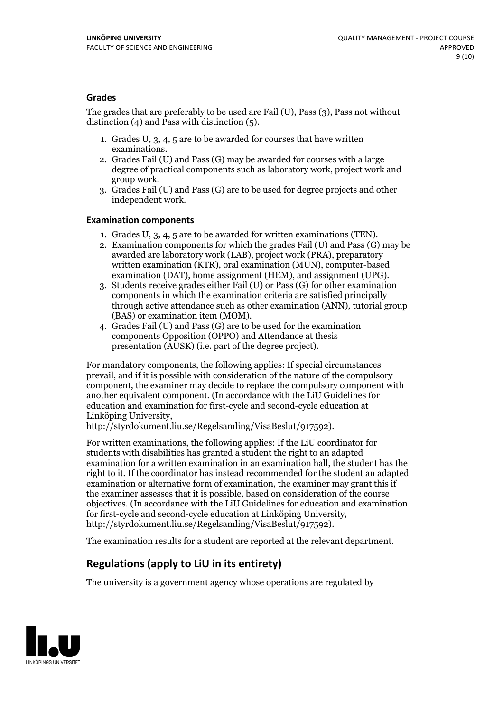#### **Grades**

The grades that are preferably to be used are Fail (U), Pass (3), Pass not without distinction  $(4)$  and Pass with distinction  $(5)$ .

- 1. Grades U, 3, 4, 5 are to be awarded for courses that have written
- examinations. 2. Grades Fail (U) and Pass (G) may be awarded for courses with <sup>a</sup> large degree of practical components such as laboratory work, project work and group work. 3. Grades Fail (U) and Pass (G) are to be used for degree projects and other
- independent work.

#### **Examination components**

- 
- 1. Grades U, 3, 4, <sup>5</sup> are to be awarded for written examinations (TEN). 2. Examination components for which the grades Fail (U) and Pass (G) may be awarded are laboratory work (LAB), project work (PRA), preparatory written examination (KTR), oral examination (MUN), computer-based
- examination (DAT), home assignment (HEM), and assignment (UPG). 3. Students receive grades either Fail (U) or Pass (G) for other examination components in which the examination criteria are satisfied principally through active attendance such as other examination (ANN), tutorial group
- (BAS) or examination item (MOM). 4. Grades Fail (U) and Pass (G) are to be used for the examination components Opposition (OPPO) and Attendance at thesis presentation (AUSK) (i.e. part of the degree project).

For mandatory components, the following applies: If special circumstances prevail, and if it is possible with consideration of the nature of the compulsory component, the examiner may decide to replace the compulsory component with another equivalent component. (In accordance with the LiU Guidelines for education and examination for first-cycle and second-cycle education at Linköping University, http://styrdokument.liu.se/Regelsamling/VisaBeslut/917592).

For written examinations, the following applies: If the LiU coordinator for students with disabilities has granted a student the right to an adapted examination for a written examination in an examination hall, the student has the right to it. If the coordinator has instead recommended for the student an adapted examination or alternative form of examination, the examiner may grant this if the examiner assesses that it is possible, based on consideration of the course objectives. (In accordance with the LiU Guidelines for education and examination for first-cycle and second-cycle education at Linköping University, http://styrdokument.liu.se/Regelsamling/VisaBeslut/917592).

The examination results for a student are reported at the relevant department.

### **Regulations (applyto LiU in its entirety)**

The university is a government agency whose operations are regulated by